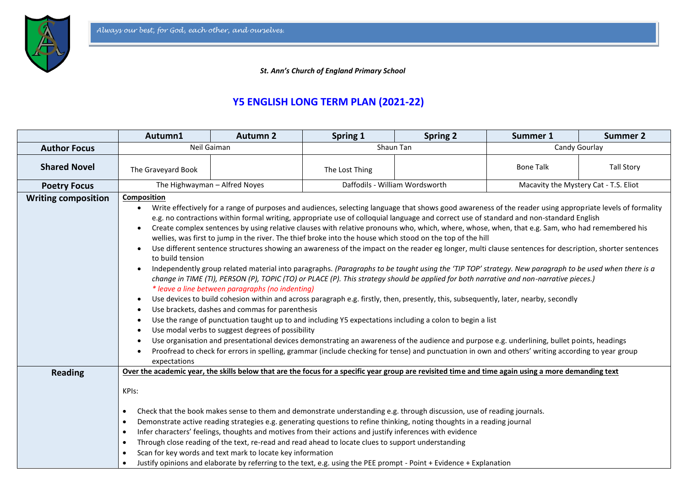

 *St. Ann's Church of England Primary School*

## **Y5 ENGLISH LONG TERM PLAN (2021-22)**

|                            | Autumn1                                                                                                                                                                                                                                                                                                                                                                                                                                                                                                                                                                                                                                                                                                                                                                                                                                                                                                                                                                                                                                                                                                                                                                                                                                                                                                                                                                                                                                                                                                                                                                                                                                                                                                                                                                                                                                                                                             | <b>Autumn 2</b> | Spring 1                       | <b>Spring 2</b> | Summer 1                              | <b>Summer 2</b>   |
|----------------------------|-----------------------------------------------------------------------------------------------------------------------------------------------------------------------------------------------------------------------------------------------------------------------------------------------------------------------------------------------------------------------------------------------------------------------------------------------------------------------------------------------------------------------------------------------------------------------------------------------------------------------------------------------------------------------------------------------------------------------------------------------------------------------------------------------------------------------------------------------------------------------------------------------------------------------------------------------------------------------------------------------------------------------------------------------------------------------------------------------------------------------------------------------------------------------------------------------------------------------------------------------------------------------------------------------------------------------------------------------------------------------------------------------------------------------------------------------------------------------------------------------------------------------------------------------------------------------------------------------------------------------------------------------------------------------------------------------------------------------------------------------------------------------------------------------------------------------------------------------------------------------------------------------------|-----------------|--------------------------------|-----------------|---------------------------------------|-------------------|
| <b>Author Focus</b>        | Neil Gaiman                                                                                                                                                                                                                                                                                                                                                                                                                                                                                                                                                                                                                                                                                                                                                                                                                                                                                                                                                                                                                                                                                                                                                                                                                                                                                                                                                                                                                                                                                                                                                                                                                                                                                                                                                                                                                                                                                         |                 | Shaun Tan                      |                 | Candy Gourlay                         |                   |
| <b>Shared Novel</b>        | The Graveyard Book                                                                                                                                                                                                                                                                                                                                                                                                                                                                                                                                                                                                                                                                                                                                                                                                                                                                                                                                                                                                                                                                                                                                                                                                                                                                                                                                                                                                                                                                                                                                                                                                                                                                                                                                                                                                                                                                                  |                 | The Lost Thing                 |                 | <b>Bone Talk</b>                      | <b>Tall Story</b> |
| <b>Poetry Focus</b>        | The Highwayman - Alfred Noyes                                                                                                                                                                                                                                                                                                                                                                                                                                                                                                                                                                                                                                                                                                                                                                                                                                                                                                                                                                                                                                                                                                                                                                                                                                                                                                                                                                                                                                                                                                                                                                                                                                                                                                                                                                                                                                                                       |                 | Daffodils - William Wordsworth |                 | Macavity the Mystery Cat - T.S. Eliot |                   |
| <b>Writing composition</b> | <b>Composition</b><br>Write effectively for a range of purposes and audiences, selecting language that shows good awareness of the reader using appropriate levels of formality<br>$\bullet$<br>e.g. no contractions within formal writing, appropriate use of colloquial language and correct use of standard and non-standard English<br>Create complex sentences by using relative clauses with relative pronouns who, which, where, whose, when, that e.g. Sam, who had remembered his<br>$\bullet$<br>wellies, was first to jump in the river. The thief broke into the house which stood on the top of the hill<br>Use different sentence structures showing an awareness of the impact on the reader eg longer, multi clause sentences for description, shorter sentences<br>$\bullet$<br>to build tension<br>Independently group related material into paragraphs. (Paragraphs to be taught using the 'TIP TOP' strategy. New paragraph to be used when there is a<br>$\bullet$<br>change in TIME (TI), PERSON (P), TOPIC (TO) or PLACE (P). This strategy should be applied for both narrative and non-narrative pieces.)<br>* leave a line between paragraphs (no indenting)<br>Use devices to build cohesion within and across paragraph e.g. firstly, then, presently, this, subsequently, later, nearby, secondly<br>Use brackets, dashes and commas for parenthesis<br>$\bullet$<br>Use the range of punctuation taught up to and including Y5 expectations including a colon to begin a list<br>Use modal verbs to suggest degrees of possibility<br>Use organisation and presentational devices demonstrating an awareness of the audience and purpose e.g. underlining, bullet points, headings<br>$\bullet$<br>Proofread to check for errors in spelling, grammar (include checking for tense) and punctuation in own and others' writing according to year group<br>expectations |                 |                                |                 |                                       |                   |
| <b>Reading</b>             | Over the academic year, the skills below that are the focus for a specific year group are revisited time and time again using a more demanding text<br>KPIs:<br>Check that the book makes sense to them and demonstrate understanding e.g. through discussion, use of reading journals.<br>$\bullet$<br>Demonstrate active reading strategies e.g. generating questions to refine thinking, noting thoughts in a reading journal<br>$\bullet$<br>Infer characters' feelings, thoughts and motives from their actions and justify inferences with evidence<br>$\bullet$<br>Through close reading of the text, re-read and read ahead to locate clues to support understanding<br>$\bullet$<br>Scan for key words and text mark to locate key information<br>$\bullet$<br>Justify opinions and elaborate by referring to the text, e.g. using the PEE prompt - Point + Evidence + Explanation<br>$\bullet$                                                                                                                                                                                                                                                                                                                                                                                                                                                                                                                                                                                                                                                                                                                                                                                                                                                                                                                                                                                            |                 |                                |                 |                                       |                   |